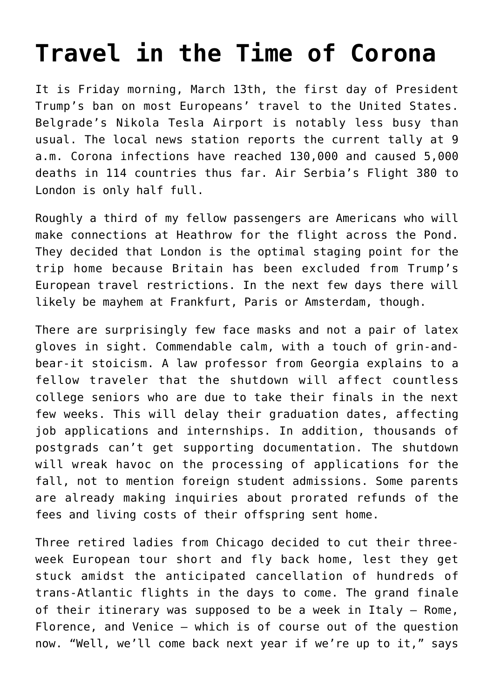## **[Travel in the Time of Corona](https://intellectualtakeout.org/2020/03/travel-in-the-time-of-corona/)**

It is Friday morning, March 13th, the first day of President Trump's ban on most Europeans' travel to the United States. Belgrade's Nikola Tesla Airport is notably less busy than usual. The local news station reports the current tally at 9 a.m. Corona infections have reached 130,000 and caused 5,000 deaths in 114 countries thus far. Air Serbia's Flight 380 to London is only half full.

Roughly a third of my fellow passengers are Americans who will make connections at Heathrow for the flight across the Pond. They decided that London is the optimal staging point for the trip home because Britain has been excluded from Trump's European travel restrictions. In the next few days there will likely be mayhem at Frankfurt, Paris or Amsterdam, though.

There are surprisingly few face masks and not a pair of latex gloves in sight. Commendable calm, with a touch of grin-andbear-it stoicism. A law professor from Georgia explains to a fellow traveler that the shutdown will affect countless college seniors who are due to take their finals in the next few weeks. This will delay their graduation dates, affecting job applications and internships. In addition, thousands of postgrads can't get supporting documentation. The shutdown will wreak havoc on the processing of applications for the fall, not to mention foreign student admissions. Some parents are already making inquiries about prorated refunds of the fees and living costs of their offspring sent home.

Three retired ladies from Chicago decided to cut their threeweek European tour short and fly back home, lest they get stuck amidst the anticipated cancellation of hundreds of trans-Atlantic flights in the days to come. The grand finale of their itinerary was supposed to be a week in Italy – Rome, Florence, and Venice – which is of course out of the question now. "Well, we'll come back next year if we're up to it," says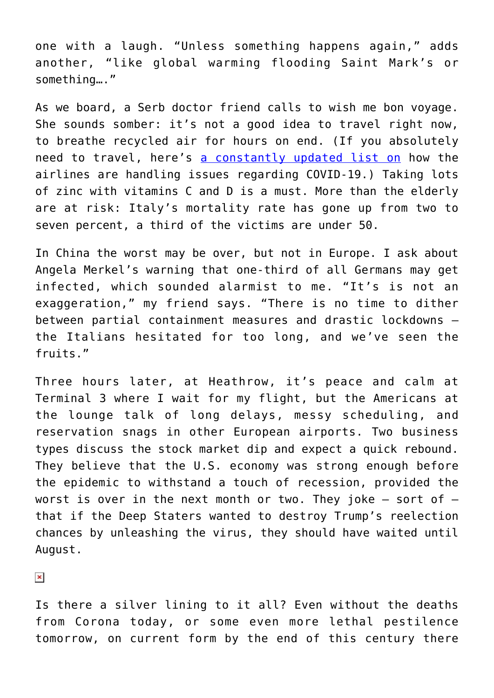one with a laugh. "Unless something happens again," adds another, "like global warming flooding Saint Mark's or something…."

As we board, a Serb doctor friend calls to wish me bon voyage. She sounds somber: it's not a good idea to travel right now, to breathe recycled air for hours on end. (If you absolutely need to travel, here's [a constantly updated list on](https://www.forbes.com/sites/advisor/2020/03/11/master-list-of-airline-coronavirus-policies/#47245e9e6827) how the airlines are handling issues regarding COVID-19.) Taking lots of zinc with vitamins C and D is a must. More than the elderly are at risk: Italy's mortality rate has gone up from two to seven percent, a third of the victims are under 50.

In China the worst may be over, but not in Europe. I ask about Angela Merkel's warning that one-third of all Germans may get infected, which sounded alarmist to me. "It's is not an exaggeration," my friend says. "There is no time to dither between partial containment measures and drastic lockdowns – the Italians hesitated for too long, and we've seen the fruits."

Three hours later, at Heathrow, it's peace and calm at Terminal 3 where I wait for my flight, but the Americans at the lounge talk of long delays, messy scheduling, and reservation snags in other European airports. Two business types discuss the stock market dip and expect a quick rebound. They believe that the U.S. economy was strong enough before the epidemic to withstand a touch of recession, provided the worst is over in the next month or two. They joke  $-$  sort of  $$ that if the Deep Staters wanted to destroy Trump's reelection chances by unleashing the virus, they should have waited until August.

 $\pmb{\times}$ 

Is there a silver lining to it all? Even without the deaths from Corona today, or some even more lethal pestilence tomorrow, on current form by the end of this century there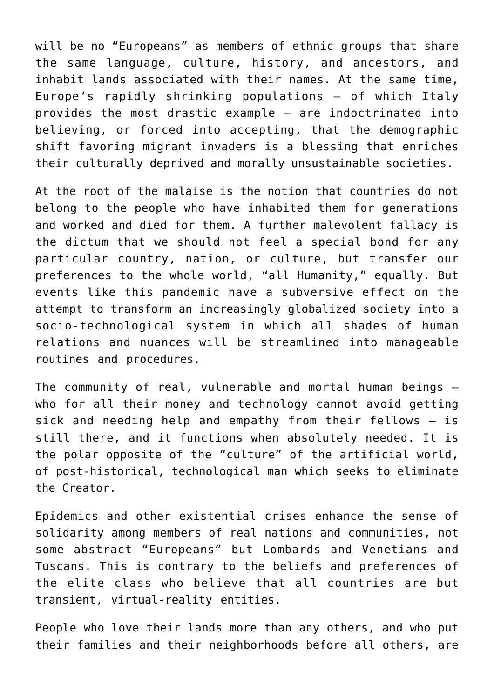will be no "Europeans" as members of ethnic groups that share the same language, culture, history, and ancestors, and inhabit lands associated with their names. At the same time, Europe's rapidly shrinking populations – of which Italy provides the most drastic example – are indoctrinated into believing, or forced into accepting, that the demographic shift favoring migrant invaders is a blessing that enriches their culturally deprived and morally unsustainable societies.

At the root of the malaise is the notion that countries do not belong to the people who have inhabited them for generations and worked and died for them. A further malevolent fallacy is the dictum that we should not feel a special bond for any particular country, nation, or culture, but transfer our preferences to the whole world, "all Humanity," equally. But events like this pandemic have a subversive effect on the attempt to transform an increasingly globalized society into a socio-technological system in which all shades of human relations and nuances will be streamlined into manageable routines and procedures.

The community of real, vulnerable and mortal human beings – who for all their money and technology cannot avoid getting sick and needing help and empathy from their fellows – is still there, and it functions when absolutely needed. It is the polar opposite of the "culture" of the artificial world, of post-historical, technological man which seeks to eliminate the Creator.

Epidemics and other existential crises enhance the sense of solidarity among members of real nations and communities, not some abstract "Europeans" but Lombards and Venetians and Tuscans. This is contrary to the beliefs and preferences of the elite class who believe that all countries are but transient, virtual-reality entities.

People who love their lands more than any others, and who put their families and their neighborhoods before all others, are